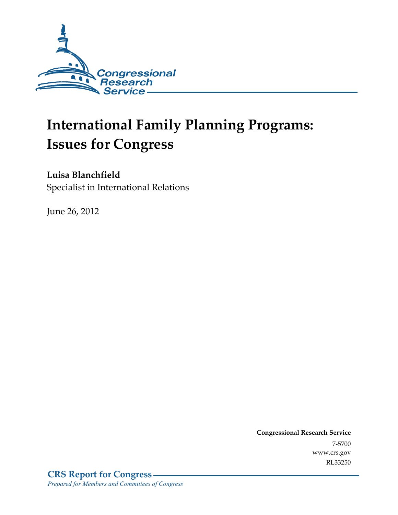

# **International Family Planning Programs: Issues for Congress**

# **Luisa Blanchfield**

Specialist in International Relations

June 26, 2012

**Congressional Research Service**  7-5700 www.crs.gov RL33250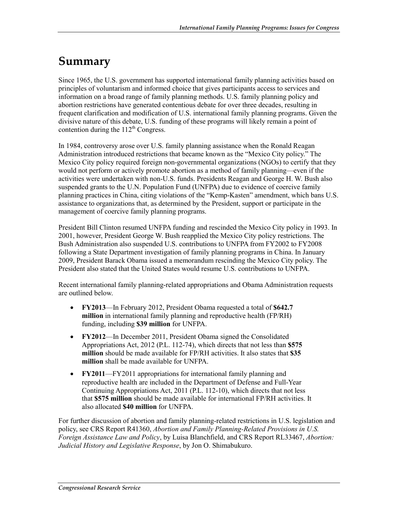# **Summary**

Since 1965, the U.S. government has supported international family planning activities based on principles of voluntarism and informed choice that gives participants access to services and information on a broad range of family planning methods. U.S. family planning policy and abortion restrictions have generated contentious debate for over three decades, resulting in frequent clarification and modification of U.S. international family planning programs. Given the divisive nature of this debate, U.S. funding of these programs will likely remain a point of contention during the  $112<sup>th</sup>$  Congress.

In 1984, controversy arose over U.S. family planning assistance when the Ronald Reagan Administration introduced restrictions that became known as the "Mexico City policy." The Mexico City policy required foreign non-governmental organizations (NGOs) to certify that they would not perform or actively promote abortion as a method of family planning—even if the activities were undertaken with non-U.S. funds. Presidents Reagan and George H. W. Bush also suspended grants to the U.N. Population Fund (UNFPA) due to evidence of coercive family planning practices in China, citing violations of the "Kemp-Kasten" amendment, which bans U.S. assistance to organizations that, as determined by the President, support or participate in the management of coercive family planning programs.

President Bill Clinton resumed UNFPA funding and rescinded the Mexico City policy in 1993. In 2001, however, President George W. Bush reapplied the Mexico City policy restrictions. The Bush Administration also suspended U.S. contributions to UNFPA from FY2002 to FY2008 following a State Department investigation of family planning programs in China. In January 2009, President Barack Obama issued a memorandum rescinding the Mexico City policy. The President also stated that the United States would resume U.S. contributions to UNFPA.

Recent international family planning-related appropriations and Obama Administration requests are outlined below.

- **FY2013**—In February 2012, President Obama requested a total of **\$642.7 million** in international family planning and reproductive health (FP/RH) funding, including **\$39 million** for UNFPA.
- **FY2012**—In December 2011, President Obama signed the Consolidated Appropriations Act, 2012 (P.L. 112-74), which directs that not less than **\$575 million** should be made available for FP/RH activities. It also states that **\$35 million** shall be made available for UNFPA.
- **FY2011**—FY2011 appropriations for international family planning and reproductive health are included in the Department of Defense and Full-Year Continuing Appropriations Act, 2011 (P.L. 112-10), which directs that not less that **\$575 million** should be made available for international FP/RH activities. It also allocated **\$40 million** for UNFPA.

For further discussion of abortion and family planning-related restrictions in U.S. legislation and policy, see CRS Report R41360, *Abortion and Family Planning-Related Provisions in U.S. Foreign Assistance Law and Policy*, by Luisa Blanchfield, and CRS Report RL33467, *Abortion: Judicial History and Legislative Response*, by Jon O. Shimabukuro.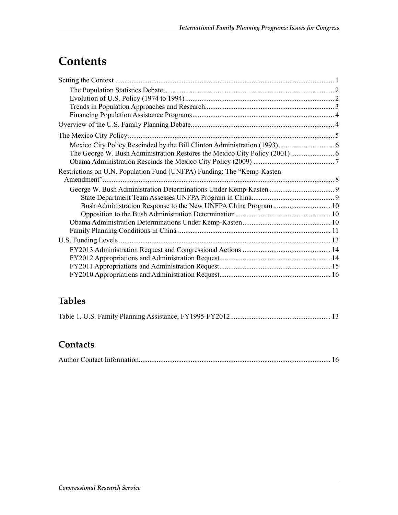# **Contents**

# **Tables**

### **Contacts**

|--|--|--|--|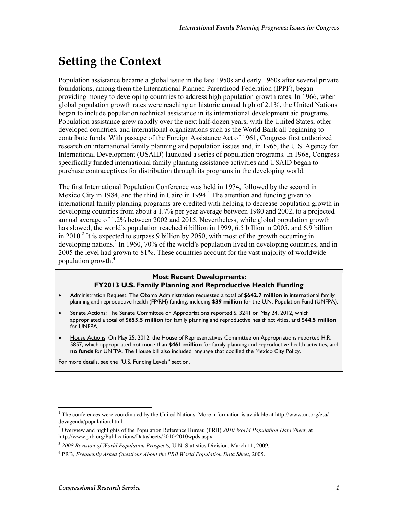# **Setting the Context**

Population assistance became a global issue in the late 1950s and early 1960s after several private foundations, among them the International Planned Parenthood Federation (IPPF), began providing money to developing countries to address high population growth rates. In 1966, when global population growth rates were reaching an historic annual high of 2.1%, the United Nations began to include population technical assistance in its international development aid programs. Population assistance grew rapidly over the next half-dozen years, with the United States, other developed countries, and international organizations such as the World Bank all beginning to contribute funds. With passage of the Foreign Assistance Act of 1961, Congress first authorized research on international family planning and population issues and, in 1965, the U.S. Agency for International Development (USAID) launched a series of population programs. In 1968, Congress specifically funded international family planning assistance activities and USAID began to purchase contraceptives for distribution through its programs in the developing world.

The first International Population Conference was held in 1974, followed by the second in Mexico City in 1984, and the third in Cairo in 1994.<sup>1</sup> The attention and funding given to international family planning programs are credited with helping to decrease population growth in developing countries from about a 1.7% per year average between 1980 and 2002, to a projected annual average of 1.2% between 2002 and 2015. Nevertheless, while global population growth has slowed, the world's population reached 6 billion in 1999, 6.5 billion in 2005, and 6.9 billion in 2010.<sup>2</sup> It is expected to surpass 9 billion by 2050, with most of the growth occurring in developing nations.<sup>3</sup> In 1960, 70% of the world's population lived in developing countries, and in 2005 the level had grown to 81%. These countries account for the vast majority of worldwide population growth.4

#### **Most Recent Developments:**

#### **FY2013 U.S. Family Planning and Reproductive Health Funding**

- Administration Request: The Obama Administration requested a total of **\$642.7 million** in international family planning and reproductive health (FP/RH) funding, including **\$39 million** for the U.N. Population Fund (UNFPA).
- Senate Actions: The Senate Committee on Appropriations reported S. 3241 on May 24, 2012, which appropriated a total of **\$655.5 million** for family planning and reproductive health activities, and **\$44.5 million** for UNFPA.
- House Actions: On May 25, 2012, the House of Representatives Committee on Appropriations reported H.R. 5857, which appropriated not more than **\$461 million** for family planning and reproductive health activities, and **no funds** for UNFPA. The House bill also included language that codified the Mexico City Policy.

For more details, see the "U.S. Funding Levels" section.

<sup>&</sup>lt;sup>1</sup> The conferences were coordinated by the United Nations. More information is available at http://www.un.org/esa/ devagenda/population.html.

<sup>2</sup> Overview and highlights of the Population Reference Bureau (PRB) *2010 World Population Data Sheet*, at http://www.prb.org/Publications/Datasheets/2010/2010wpds.aspx.

<sup>3</sup> *2008 Revision of World Population Prospects,* U.N. Statistics Division, March 11, 2009.

<sup>4</sup> PRB, *Frequently Asked Questions About the PRB World Population Data Sheet*, 2005.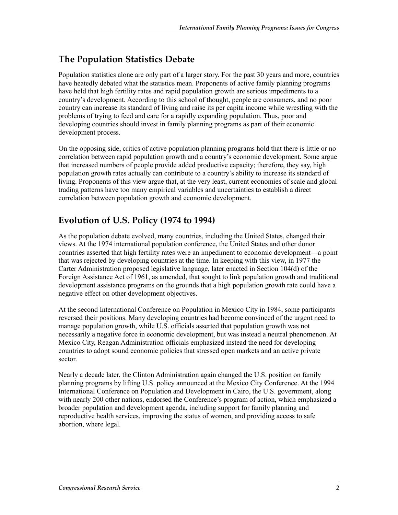# **The Population Statistics Debate**

Population statistics alone are only part of a larger story. For the past 30 years and more, countries have heatedly debated what the statistics mean. Proponents of active family planning programs have held that high fertility rates and rapid population growth are serious impediments to a country's development. According to this school of thought, people are consumers, and no poor country can increase its standard of living and raise its per capita income while wrestling with the problems of trying to feed and care for a rapidly expanding population. Thus, poor and developing countries should invest in family planning programs as part of their economic development process.

On the opposing side, critics of active population planning programs hold that there is little or no correlation between rapid population growth and a country's economic development. Some argue that increased numbers of people provide added productive capacity; therefore, they say, high population growth rates actually can contribute to a country's ability to increase its standard of living. Proponents of this view argue that, at the very least, current economies of scale and global trading patterns have too many empirical variables and uncertainties to establish a direct correlation between population growth and economic development.

## **Evolution of U.S. Policy (1974 to 1994)**

As the population debate evolved, many countries, including the United States, changed their views. At the 1974 international population conference, the United States and other donor countries asserted that high fertility rates were an impediment to economic development—a point that was rejected by developing countries at the time. In keeping with this view, in 1977 the Carter Administration proposed legislative language, later enacted in Section 104(d) of the Foreign Assistance Act of 1961, as amended, that sought to link population growth and traditional development assistance programs on the grounds that a high population growth rate could have a negative effect on other development objectives.

At the second International Conference on Population in Mexico City in 1984, some participants reversed their positions. Many developing countries had become convinced of the urgent need to manage population growth, while U.S. officials asserted that population growth was not necessarily a negative force in economic development, but was instead a neutral phenomenon. At Mexico City, Reagan Administration officials emphasized instead the need for developing countries to adopt sound economic policies that stressed open markets and an active private sector.

Nearly a decade later, the Clinton Administration again changed the U.S. position on family planning programs by lifting U.S. policy announced at the Mexico City Conference. At the 1994 International Conference on Population and Development in Cairo, the U.S. government, along with nearly 200 other nations, endorsed the Conference's program of action, which emphasized a broader population and development agenda, including support for family planning and reproductive health services, improving the status of women, and providing access to safe abortion, where legal.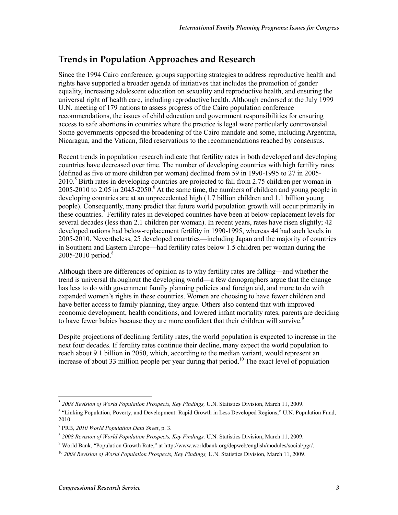## **Trends in Population Approaches and Research**

Since the 1994 Cairo conference, groups supporting strategies to address reproductive health and rights have supported a broader agenda of initiatives that includes the promotion of gender equality, increasing adolescent education on sexuality and reproductive health, and ensuring the universal right of health care, including reproductive health. Although endorsed at the July 1999 U.N. meeting of 179 nations to assess progress of the Cairo population conference recommendations, the issues of child education and government responsibilities for ensuring access to safe abortions in countries where the practice is legal were particularly controversial. Some governments opposed the broadening of the Cairo mandate and some, including Argentina, Nicaragua, and the Vatican, filed reservations to the recommendations reached by consensus.

Recent trends in population research indicate that fertility rates in both developed and developing countries have decreased over time. The number of developing countries with high fertility rates (defined as five or more children per woman) declined from 59 in 1990-1995 to 27 in 2005- 2010.<sup>5</sup> Birth rates in developing countries are projected to fall from 2.75 children per woman in 2005-2010 to 2.05 in 2045-2050.<sup>6</sup> At the same time, the numbers of children and young people in developing countries are at an unprecedented high (1.7 billion children and 1.1 billion young people). Consequently, many predict that future world population growth will occur primarily in these countries.<sup>7</sup> Fertility rates in developed countries have been at below-replacement levels for several decades (less than 2.1 children per woman). In recent years, rates have risen slightly; 42 developed nations had below-replacement fertility in 1990-1995, whereas 44 had such levels in 2005-2010. Nevertheless, 25 developed countries—including Japan and the majority of countries in Southern and Eastern Europe—had fertility rates below 1.5 children per woman during the 2005-2010 period.<sup>8</sup>

Although there are differences of opinion as to why fertility rates are falling—and whether the trend is universal throughout the developing world—a few demographers argue that the change has less to do with government family planning policies and foreign aid, and more to do with expanded women's rights in these countries. Women are choosing to have fewer children and have better access to family planning, they argue. Others also contend that with improved economic development, health conditions, and lowered infant mortality rates, parents are deciding to have fewer babies because they are more confident that their children will survive.<sup>9</sup>

Despite projections of declining fertility rates, the world population is expected to increase in the next four decades. If fertility rates continue their decline, many expect the world population to reach about 9.1 billion in 2050, which, according to the median variant, would represent an increase of about 33 million people per year during that period.<sup>10</sup> The exact level of population

<sup>1</sup> <sup>5</sup> *2008 Revision of World Population Prospects, Key Findings,* U.N. Statistics Division, March 11, 2009.

<sup>&</sup>lt;sup>6</sup> "Linking Population, Poverty, and Development: Rapid Growth in Less Developed Regions," U.N. Population Fund, 2010.

<sup>7</sup> PRB, *2010 World Population Data Sheet*, p. 3.

<sup>8</sup> *2008 Revision of World Population Prospects, Key Findings,* U.N. Statistics Division, March 11, 2009.

<sup>9</sup> World Bank, "Population Growth Rate," at http://www.worldbank.org/depweb/english/modules/social/pgr/.

<sup>10</sup> *2008 Revision of World Population Prospects, Key Findings,* U.N. Statistics Division, March 11, 2009.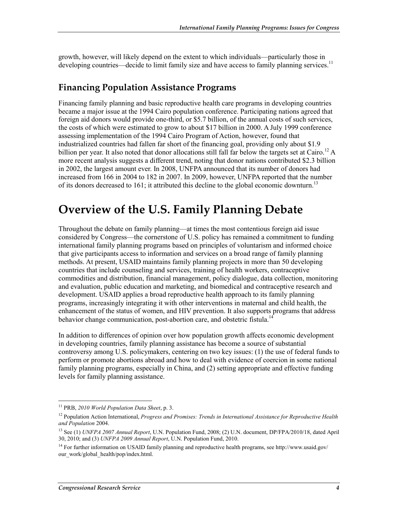growth, however, will likely depend on the extent to which individuals—particularly those in developing countries—decide to limit family size and have access to family planning services.<sup>11</sup>

### **Financing Population Assistance Programs**

Financing family planning and basic reproductive health care programs in developing countries became a major issue at the 1994 Cairo population conference. Participating nations agreed that foreign aid donors would provide one-third, or \$5.7 billion, of the annual costs of such services, the costs of which were estimated to grow to about \$17 billion in 2000. A July 1999 conference assessing implementation of the 1994 Cairo Program of Action, however, found that industrialized countries had fallen far short of the financing goal, providing only about \$1.9 billion per year. It also noted that donor allocations still fall far below the targets set at Cairo.<sup>12</sup> A more recent analysis suggests a different trend, noting that donor nations contributed \$2.3 billion in 2002, the largest amount ever. In 2008, UNFPA announced that its number of donors had increased from 166 in 2004 to 182 in 2007. In 2009, however, UNFPA reported that the number of its donors decreased to 161; it attributed this decline to the global economic downturn.<sup>13</sup>

# **Overview of the U.S. Family Planning Debate**

Throughout the debate on family planning—at times the most contentious foreign aid issue considered by Congress—the cornerstone of U.S. policy has remained a commitment to funding international family planning programs based on principles of voluntarism and informed choice that give participants access to information and services on a broad range of family planning methods. At present, USAID maintains family planning projects in more than 50 developing countries that include counseling and services, training of health workers, contraceptive commodities and distribution, financial management, policy dialogue, data collection, monitoring and evaluation, public education and marketing, and biomedical and contraceptive research and development. USAID applies a broad reproductive health approach to its family planning programs, increasingly integrating it with other interventions in maternal and child health, the enhancement of the status of women, and HIV prevention. It also supports programs that address behavior change communication, post-abortion care, and obstetric fistula.<sup>14</sup>

In addition to differences of opinion over how population growth affects economic development in developing countries, family planning assistance has become a source of substantial controversy among U.S. policymakers, centering on two key issues: (1) the use of federal funds to perform or promote abortions abroad and how to deal with evidence of coercion in some national family planning programs, especially in China, and (2) setting appropriate and effective funding levels for family planning assistance.

<sup>11</sup> PRB, *2010 World Population Data Sheet*, p. 3.

<sup>12</sup> Population Action International, *Progress and Promises: Trends in International Assistance for Reproductive Health and Population* 2004.

<sup>13</sup> See (1) *UNFPA 2007 Annual Report*, U.N. Population Fund, 2008; (2) U.N. document, DP/FPA/2010/18, dated April 30, 2010; and (3) *UNFPA 2009 Annual Report*, U.N. Population Fund, 2010.

<sup>&</sup>lt;sup>14</sup> For further information on USAID family planning and reproductive health programs, see http://www.usaid.gov/ our\_work/global\_health/pop/index.html.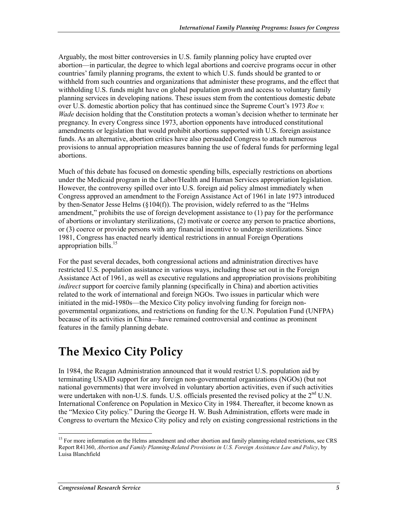Arguably, the most bitter controversies in U.S. family planning policy have erupted over abortion—in particular, the degree to which legal abortions and coercive programs occur in other countries' family planning programs, the extent to which U.S. funds should be granted to or withheld from such countries and organizations that administer these programs, and the effect that withholding U.S. funds might have on global population growth and access to voluntary family planning services in developing nations. These issues stem from the contentious domestic debate over U.S. domestic abortion policy that has continued since the Supreme Court's 1973 *Roe v. Wade* decision holding that the Constitution protects a woman's decision whether to terminate her pregnancy. In every Congress since 1973, abortion opponents have introduced constitutional amendments or legislation that would prohibit abortions supported with U.S. foreign assistance funds. As an alternative, abortion critics have also persuaded Congress to attach numerous provisions to annual appropriation measures banning the use of federal funds for performing legal abortions.

Much of this debate has focused on domestic spending bills, especially restrictions on abortions under the Medicaid program in the Labor/Health and Human Services appropriation legislation. However, the controversy spilled over into U.S. foreign aid policy almost immediately when Congress approved an amendment to the Foreign Assistance Act of 1961 in late 1973 introduced by then-Senator Jesse Helms (§104(f)). The provision, widely referred to as the "Helms amendment," prohibits the use of foreign development assistance to (1) pay for the performance of abortions or involuntary sterilizations, (2) motivate or coerce any person to practice abortions, or (3) coerce or provide persons with any financial incentive to undergo sterilizations. Since 1981, Congress has enacted nearly identical restrictions in annual Foreign Operations appropriation bills.<sup>15</sup>

For the past several decades, both congressional actions and administration directives have restricted U.S. population assistance in various ways, including those set out in the Foreign Assistance Act of 1961, as well as executive regulations and appropriation provisions prohibiting *indirect* support for coercive family planning (specifically in China) and abortion activities related to the work of international and foreign NGOs. Two issues in particular which were initiated in the mid-1980s—the Mexico City policy involving funding for foreign nongovernmental organizations, and restrictions on funding for the U.N. Population Fund (UNFPA) because of its activities in China—have remained controversial and continue as prominent features in the family planning debate.

# **The Mexico City Policy**

In 1984, the Reagan Administration announced that it would restrict U.S. population aid by terminating USAID support for any foreign non-governmental organizations (NGOs) (but not national governments) that were involved in voluntary abortion activities, even if such activities were undertaken with non-U.S. funds. U.S. officials presented the revised policy at the  $2<sup>nd</sup>$  U.N. International Conference on Population in Mexico City in 1984. Thereafter, it become known as the "Mexico City policy." During the George H. W. Bush Administration, efforts were made in Congress to overturn the Mexico City policy and rely on existing congressional restrictions in the

<sup>&</sup>lt;sup>15</sup> For more information on the Helms amendment and other abortion and family planning-related restrictions, see CRS Report R41360, *Abortion and Family Planning-Related Provisions in U.S. Foreign Assistance Law and Policy*, by Luisa Blanchfield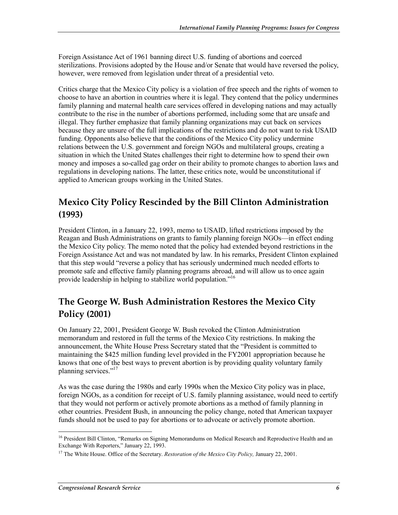Foreign Assistance Act of 1961 banning direct U.S. funding of abortions and coerced sterilizations. Provisions adopted by the House and/or Senate that would have reversed the policy, however, were removed from legislation under threat of a presidential veto.

Critics charge that the Mexico City policy is a violation of free speech and the rights of women to choose to have an abortion in countries where it is legal. They contend that the policy undermines family planning and maternal health care services offered in developing nations and may actually contribute to the rise in the number of abortions performed, including some that are unsafe and illegal. They further emphasize that family planning organizations may cut back on services because they are unsure of the full implications of the restrictions and do not want to risk USAID funding. Opponents also believe that the conditions of the Mexico City policy undermine relations between the U.S. government and foreign NGOs and multilateral groups, creating a situation in which the United States challenges their right to determine how to spend their own money and imposes a so-called gag order on their ability to promote changes to abortion laws and regulations in developing nations. The latter, these critics note, would be unconstitutional if applied to American groups working in the United States.

# **Mexico City Policy Rescinded by the Bill Clinton Administration (1993)**

President Clinton, in a January 22, 1993, memo to USAID, lifted restrictions imposed by the Reagan and Bush Administrations on grants to family planning foreign NGOs—in effect ending the Mexico City policy. The memo noted that the policy had extended beyond restrictions in the Foreign Assistance Act and was not mandated by law. In his remarks, President Clinton explained that this step would "reverse a policy that has seriously undermined much needed efforts to promote safe and effective family planning programs abroad, and will allow us to once again provide leadership in helping to stabilize world population."16

# **The George W. Bush Administration Restores the Mexico City Policy (2001)**

On January 22, 2001, President George W. Bush revoked the Clinton Administration memorandum and restored in full the terms of the Mexico City restrictions. In making the announcement, the White House Press Secretary stated that the "President is committed to maintaining the \$425 million funding level provided in the FY2001 appropriation because he knows that one of the best ways to prevent abortion is by providing quality voluntary family planning services."<sup>17</sup>

As was the case during the 1980s and early 1990s when the Mexico City policy was in place, foreign NGOs, as a condition for receipt of U.S. family planning assistance, would need to certify that they would not perform or actively promote abortions as a method of family planning in other countries. President Bush, in announcing the policy change, noted that American taxpayer funds should not be used to pay for abortions or to advocate or actively promote abortion.

<sup>&</sup>lt;sup>16</sup> President Bill Clinton, "Remarks on Signing Memorandums on Medical Research and Reproductive Health and an Exchange With Reporters," January 22, 1993.

<sup>17</sup> The White House. Office of the Secretary. *Restoration of the Mexico City Policy,* January 22, 2001.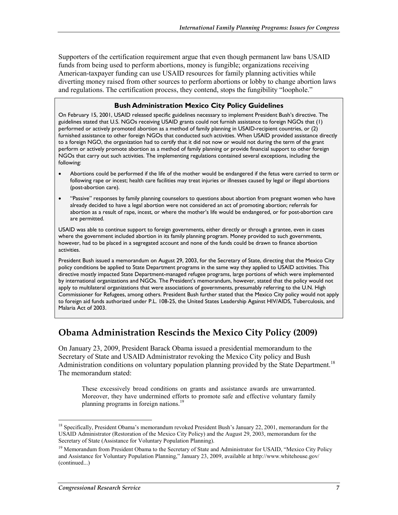Supporters of the certification requirement argue that even though permanent law bans USAID funds from being used to perform abortions, money is fungible; organizations receiving American-taxpayer funding can use USAID resources for family planning activities while diverting money raised from other sources to perform abortions or lobby to change abortion laws and regulations. The certification process, they contend, stops the fungibility "loophole."

#### **Bush Administration Mexico City Policy Guidelines**

On February 15, 2001, USAID released specific guidelines necessary to implement President Bush's directive. The guidelines stated that U.S. NGOs receiving USAID grants could not furnish assistance to foreign NGOs that (1) performed or actively promoted abortion as a method of family planning in USAID-recipient countries, or (2) furnished assistance to other foreign NGOs that conducted such activities. When USAID provided assistance directly to a foreign NGO, the organization had to certify that it did not now or would not during the term of the grant perform or actively promote abortion as a method of family planning or provide financial support to other foreign NGOs that carry out such activities. The implementing regulations contained several exceptions, including the following:

- Abortions could be performed if the life of the mother would be endangered if the fetus were carried to term or following rape or incest; health care facilities may treat injuries or illnesses caused by legal or illegal abortions (post-abortion care).
- "Passive" responses by family planning counselors to questions about abortion from pregnant women who have already decided to have a legal abortion were not considered an act of promoting abortion; referrals for abortion as a result of rape, incest, or where the mother's life would be endangered, or for post-abortion care are permitted.

USAID was able to continue support to foreign governments, either directly or through a grantee, even in cases where the government included abortion in its family planning program. Money provided to such governments, however, had to be placed in a segregated account and none of the funds could be drawn to finance abortion activities.

President Bush issued a memorandum on August 29, 2003, for the Secretary of State, directing that the Mexico City policy conditions be applied to State Department programs in the same way they applied to USAID activities. This directive mostly impacted State Department-managed refugee programs, large portions of which were implemented by international organizations and NGOs. The President's memorandum, however, stated that the policy would not apply to multilateral organizations that were associations of governments, presumably referring to the U.N. High Commissioner for Refugees, among others. President Bush further stated that the Mexico City policy would not apply to foreign aid funds authorized under P.L. 108-25, the United States Leadership Against HIV/AIDS, Tuberculosis, and Malaria Act of 2003.

### **Obama Administration Rescinds the Mexico City Policy (2009)**

On January 23, 2009, President Barack Obama issued a presidential memorandum to the Secretary of State and USAID Administrator revoking the Mexico City policy and Bush Administration conditions on voluntary population planning provided by the State Department.<sup>18</sup> The memorandum stated:

These excessively broad conditions on grants and assistance awards are unwarranted. Moreover, they have undermined efforts to promote safe and effective voluntary family planning programs in foreign nations.<sup>19</sup>

<sup>&</sup>lt;sup>18</sup> Specifically, President Obama's memorandum revoked President Bush's January 22, 2001, memorandum for the USAID Administrator (Restoration of the Mexico City Policy) and the August 29, 2003, memorandum for the Secretary of State (Assistance for Voluntary Population Planning).

<sup>&</sup>lt;sup>19</sup> Memorandum from President Obama to the Secretary of State and Administrator for USAID, "Mexico City Policy and Assistance for Voluntary Population Planning," January 23, 2009, available at http://www.whitehouse.gov/ (continued...)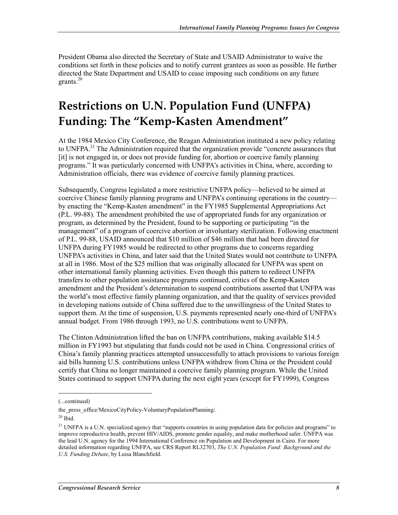President Obama also directed the Secretary of State and USAID Administrator to waive the conditions set forth in these policies and to notify current grantees as soon as possible. He further directed the State Department and USAID to cease imposing such conditions on any future grants. $20$ 

# **Restrictions on U.N. Population Fund (UNFPA) Funding: The "Kemp-Kasten Amendment"**

At the 1984 Mexico City Conference, the Reagan Administration instituted a new policy relating to UNFPA.<sup>21</sup> The Administration required that the organization provide "concrete assurances that [it] is not engaged in, or does not provide funding for, abortion or coercive family planning programs." It was particularly concerned with UNFPA's activities in China, where, according to Administration officials, there was evidence of coercive family planning practices.

Subsequently, Congress legislated a more restrictive UNFPA policy—believed to be aimed at coercive Chinese family planning programs and UNFPA's continuing operations in the country by enacting the "Kemp-Kasten amendment" in the FY1985 Supplemental Appropriations Act (P.L. 99-88). The amendment prohibited the use of appropriated funds for any organization or program, as determined by the President, found to be supporting or participating "in the management" of a program of coercive abortion or involuntary sterilization. Following enactment of P.L. 99-88, USAID announced that \$10 million of \$46 million that had been directed for UNFPA during FY1985 would be redirected to other programs due to concerns regarding UNFPA's activities in China, and later said that the United States would not contribute to UNFPA at all in 1986. Most of the \$25 million that was originally allocated for UNFPA was spent on other international family planning activities. Even though this pattern to redirect UNFPA transfers to other population assistance programs continued, critics of the Kemp-Kasten amendment and the President's determination to suspend contributions asserted that UNFPA was the world's most effective family planning organization, and that the quality of services provided in developing nations outside of China suffered due to the unwillingness of the United States to support them. At the time of suspension, U.S. payments represented nearly one-third of UNFPA's annual budget. From 1986 through 1993, no U.S. contributions went to UNFPA.

The Clinton Administration lifted the ban on UNFPA contributions, making available \$14.5 million in FY1993 but stipulating that funds could not be used in China. Congressional critics of China's family planning practices attempted unsuccessfully to attach provisions to various foreign aid bills banning U.S. contributions unless UNFPA withdrew from China or the President could certify that China no longer maintained a coercive family planning program. While the United States continued to support UNFPA during the next eight years (except for FY1999), Congress

<sup>(...</sup>continued)

the press office/MexicoCityPolicy-VoluntaryPopulationPlanning/.

 $20$  Ibid.

<sup>&</sup>lt;sup>21</sup> UNFPA is a U.N. specialized agency that "supports countries in using population data for policies and programs" to improve reproductive health, prevent HIV/AIDS, promote gender equality, and make motherhood safer. UNFPA was the lead U.N. agency for the 1994 International Conference on Population and Development in Cairo. For more detailed information regarding UNFPA, see CRS Report RL32703, *The U.N. Population Fund: Background and the U.S. Funding Debate*, by Luisa Blanchfield.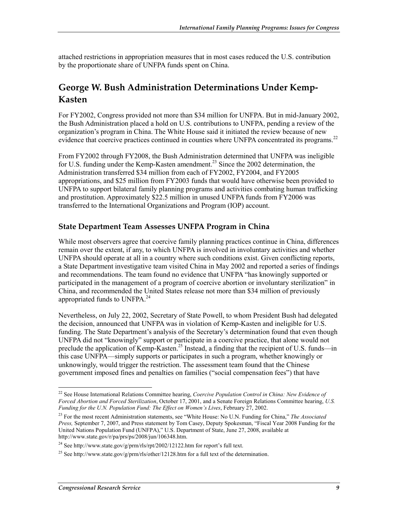attached restrictions in appropriation measures that in most cases reduced the U.S. contribution by the proportionate share of UNFPA funds spent on China.

# **George W. Bush Administration Determinations Under Kemp-Kasten**

For FY2002, Congress provided not more than \$34 million for UNFPA. But in mid-January 2002, the Bush Administration placed a hold on U.S. contributions to UNFPA, pending a review of the organization's program in China. The White House said it initiated the review because of new evidence that coercive practices continued in counties where UNFPA concentrated its programs.<sup>22</sup>

From FY2002 through FY2008, the Bush Administration determined that UNFPA was ineligible for U.S. funding under the Kemp-Kasten amendment.<sup>23</sup> Since the 2002 determination, the Administration transferred \$34 million from each of FY2002, FY2004, and FY2005 appropriations, and \$25 million from FY2003 funds that would have otherwise been provided to UNFPA to support bilateral family planning programs and activities combating human trafficking and prostitution. Approximately \$22.5 million in unused UNFPA funds from FY2006 was transferred to the International Organizations and Program (IOP) account.

### **State Department Team Assesses UNFPA Program in China**

While most observers agree that coercive family planning practices continue in China, differences remain over the extent, if any, to which UNFPA is involved in involuntary activities and whether UNFPA should operate at all in a country where such conditions exist. Given conflicting reports, a State Department investigative team visited China in May 2002 and reported a series of findings and recommendations. The team found no evidence that UNFPA "has knowingly supported or participated in the management of a program of coercive abortion or involuntary sterilization" in China, and recommended the United States release not more than \$34 million of previously appropriated funds to UNFPA.<sup>24</sup>

Nevertheless, on July 22, 2002, Secretary of State Powell, to whom President Bush had delegated the decision, announced that UNFPA was in violation of Kemp-Kasten and ineligible for U.S. funding. The State Department's analysis of the Secretary's determination found that even though UNFPA did not "knowingly" support or participate in a coercive practice, that alone would not preclude the application of Kemp-Kasten.<sup>25</sup> Instead, a finding that the recipient of U.S. funds—in this case UNFPA—simply supports or participates in such a program, whether knowingly or unknowingly, would trigger the restriction. The assessment team found that the Chinese government imposed fines and penalties on families ("social compensation fees") that have

<sup>22</sup> See House International Relations Committee hearing, *Coercive Population Control in China: New Evidence of Forced Abortion and Forced Sterilization*, October 17, 2001, and a Senate Foreign Relations Committee hearing, *U.S. Funding for the U.N. Population Fund: The Effect on Women's Lives*, February 27, 2002.

<sup>23</sup> For the most recent Administration statements, see "White House: No U.N. Funding for China," *The Associated Press,* September 7, 2007, and Press statement by Tom Casey, Deputy Spokesman, "Fiscal Year 2008 Funding for the United Nations Population Fund (UNFPA)," U.S. Department of State, June 27, 2008, available at http://www.state.gov/r/pa/prs/ps/2008/jun/106348.htm.

<sup>&</sup>lt;sup>24</sup> See http://www.state.gov/g/prm/rls/rpt/2002/12122.htm for report's full text.

<sup>&</sup>lt;sup>25</sup> See http://www.state.gov/g/prm/rls/other/12128.htm for a full text of the determination.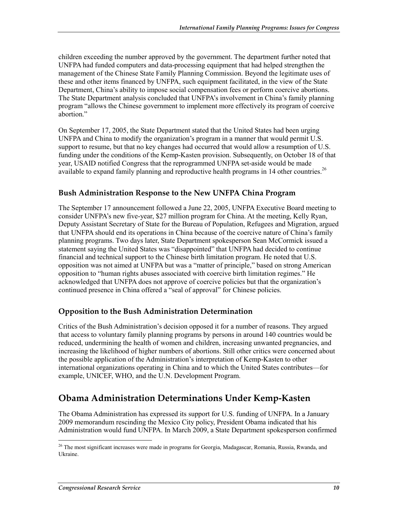children exceeding the number approved by the government. The department further noted that UNFPA had funded computers and data-processing equipment that had helped strengthen the management of the Chinese State Family Planning Commission. Beyond the legitimate uses of these and other items financed by UNFPA, such equipment facilitated, in the view of the State Department, China's ability to impose social compensation fees or perform coercive abortions. The State Department analysis concluded that UNFPA's involvement in China's family planning program "allows the Chinese government to implement more effectively its program of coercive abortion."

On September 17, 2005, the State Department stated that the United States had been urging UNFPA and China to modify the organization's program in a manner that would permit U.S. support to resume, but that no key changes had occurred that would allow a resumption of U.S. funding under the conditions of the Kemp-Kasten provision. Subsequently, on October 18 of that year, USAID notified Congress that the reprogrammed UNFPA set-aside would be made available to expand family planning and reproductive health programs in 14 other countries.<sup>26</sup>

### **Bush Administration Response to the New UNFPA China Program**

The September 17 announcement followed a June 22, 2005, UNFPA Executive Board meeting to consider UNFPA's new five-year, \$27 million program for China. At the meeting, Kelly Ryan, Deputy Assistant Secretary of State for the Bureau of Population, Refugees and Migration, argued that UNFPA should end its operations in China because of the coercive nature of China's family planning programs. Two days later, State Department spokesperson Sean McCormick issued a statement saying the United States was "disappointed" that UNFPA had decided to continue financial and technical support to the Chinese birth limitation program. He noted that U.S. opposition was not aimed at UNFPA but was a "matter of principle," based on strong American opposition to "human rights abuses associated with coercive birth limitation regimes." He acknowledged that UNFPA does not approve of coercive policies but that the organization's continued presence in China offered a "seal of approval" for Chinese policies.

### **Opposition to the Bush Administration Determination**

Critics of the Bush Administration's decision opposed it for a number of reasons. They argued that access to voluntary family planning programs by persons in around 140 countries would be reduced, undermining the health of women and children, increasing unwanted pregnancies, and increasing the likelihood of higher numbers of abortions. Still other critics were concerned about the possible application of the Administration's interpretation of Kemp-Kasten to other international organizations operating in China and to which the United States contributes—for example, UNICEF, WHO, and the U.N. Development Program.

# **Obama Administration Determinations Under Kemp-Kasten**

The Obama Administration has expressed its support for U.S. funding of UNFPA. In a January 2009 memorandum rescinding the Mexico City policy, President Obama indicated that his Administration would fund UNFPA. In March 2009, a State Department spokesperson confirmed

<sup>1</sup> <sup>26</sup> The most significant increases were made in programs for Georgia, Madagascar, Romania, Russia, Rwanda, and Ukraine.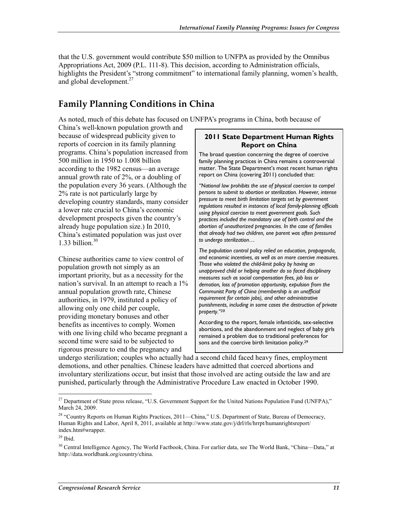that the U.S. government would contribute \$50 million to UNFPA as provided by the Omnibus Appropriations Act, 2009 (P.L. 111-8). This decision, according to Administration officials, highlights the President's "strong commitment" to international family planning, women's health, and global development.<sup>27</sup>

# **Family Planning Conditions in China**

As noted, much of this debate has focused on UNFPA's programs in China, both because of

China's well-known population growth and because of widespread publicity given to reports of coercion in its family planning programs. China's population increased from 500 million in 1950 to 1.008 billion according to the 1982 census—an average annual growth rate of 2%, or a doubling of the population every 36 years. (Although the 2% rate is not particularly large by developing country standards, many consider a lower rate crucial to China's economic development prospects given the country's already huge population size.) In 2010, China's estimated population was just over 1.33 billion. $30$ 

Chinese authorities came to view control of population growth not simply as an important priority, but as a necessity for the nation's survival. In an attempt to reach a 1% annual population growth rate, Chinese authorities, in 1979, instituted a policy of allowing only one child per couple, providing monetary bonuses and other benefits as incentives to comply. Women with one living child who became pregnant a second time were said to be subjected to rigorous pressure to end the pregnancy and

#### **2011 State Department Human Rights Report on China**

The broad question concerning the degree of coercive family planning practices in China remains a controversial matter. The State Department's most recent human rights report on China (covering 2011) concluded that:

*"National law prohibits the use of physical coercion to compel persons to submit to abortion or sterilization. However, intense pressure to meet birth limitation targets set by government regulations resulted in instances of local family-planning officials using physical coercion to meet government goals. Such practices included the mandatory use of birth control and the abortion of unauthorized pregnancies. In the case of families that already had two children, one parent was often pressured to undergo sterilization…* 

*The population control policy relied on education, propaganda, and economic incentives, as well as on more coercive measures. Those who violated the child-limit policy by having an unapproved child or helping another do so faced disciplinary measures such as social compensation fees, job loss or demotion, loss of promotion opportunity, expulsion from the Communist Party of China (membership is an unofficial requirement for certain jobs), and other administrative punishments, including in some cases the destruction of private property."28*

According to the report, female infanticide, sex-selective abortions, and the abandonment and neglect of baby girls remained a problem due to traditional preferences for sons and the coercive birth limitation policy.29

undergo sterilization; couples who actually had a second child faced heavy fines, employment demotions, and other penalties. Chinese leaders have admitted that coerced abortions and involuntary sterilizations occur, but insist that those involved are acting outside the law and are punished, particularly through the Administrative Procedure Law enacted in October 1990.

<sup>&</sup>lt;sup>27</sup> Department of State press release, "U.S. Government Support for the United Nations Population Fund (UNFPA)," March 24, 2009.

<sup>&</sup>lt;sup>28</sup> "Country Reports on Human Rights Practices, 2011—China," U.S. Department of State, Bureau of Democracy, Human Rights and Labor, April 8, 2011, available at http://www.state.gov/j/drl/rls/hrrpt/humanrightsreport/ index.htm#wrapper.

 $29$  Ibid.

<sup>&</sup>lt;sup>30</sup> Central Intelligence Agency, The World Factbook, China. For earlier data, see The World Bank, "China—Data," at http://data.worldbank.org/country/china.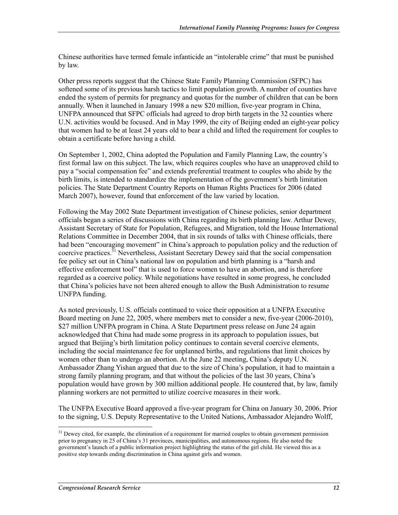Chinese authorities have termed female infanticide an "intolerable crime" that must be punished by law.

Other press reports suggest that the Chinese State Family Planning Commission (SFPC) has softened some of its previous harsh tactics to limit population growth. A number of counties have ended the system of permits for pregnancy and quotas for the number of children that can be born annually. When it launched in January 1998 a new \$20 million, five-year program in China, UNFPA announced that SFPC officials had agreed to drop birth targets in the 32 counties where U.N. activities would be focused. And in May 1999, the city of Beijing ended an eight-year policy that women had to be at least 24 years old to bear a child and lifted the requirement for couples to obtain a certificate before having a child.

On September 1, 2002, China adopted the Population and Family Planning Law, the country's first formal law on this subject. The law, which requires couples who have an unapproved child to pay a "social compensation fee" and extends preferential treatment to couples who abide by the birth limits, is intended to standardize the implementation of the government's birth limitation policies. The State Department Country Reports on Human Rights Practices for 2006 (dated March 2007), however, found that enforcement of the law varied by location.

Following the May 2002 State Department investigation of Chinese policies, senior department officials began a series of discussions with China regarding its birth planning law. Arthur Dewey, Assistant Secretary of State for Population, Refugees, and Migration, told the House International Relations Committee in December 2004, that in six rounds of talks with Chinese officials, there had been "encouraging movement" in China's approach to population policy and the reduction of coercive practices.<sup>31</sup> Nevertheless, Assistant Secretary Dewey said that the social compensation fee policy set out in China's national law on population and birth planning is a "harsh and effective enforcement tool" that is used to force women to have an abortion, and is therefore regarded as a coercive policy. While negotiations have resulted in some progress, he concluded that China's policies have not been altered enough to allow the Bush Administration to resume UNFPA funding.

As noted previously, U.S. officials continued to voice their opposition at a UNFPA Executive Board meeting on June 22, 2005, where members met to consider a new, five-year (2006-2010), \$27 million UNFPA program in China. A State Department press release on June 24 again acknowledged that China had made some progress in its approach to population issues, but argued that Beijing's birth limitation policy continues to contain several coercive elements, including the social maintenance fee for unplanned births, and regulations that limit choices by women other than to undergo an abortion. At the June 22 meeting, China's deputy U.N. Ambassador Zhang Yishan argued that due to the size of China's population, it had to maintain a strong family planning program, and that without the policies of the last 30 years, China's population would have grown by 300 million additional people. He countered that, by law, family planning workers are not permitted to utilize coercive measures in their work.

The UNFPA Executive Board approved a five-year program for China on January 30, 2006. Prior to the signing, U.S. Deputy Representative to the United Nations, Ambassador Alejandro Wolff,

 $31$  Dewey cited, for example, the elimination of a requirement for married couples to obtain government permission prior to pregnancy in 25 of China's 31 provinces, municipalities, and autonomous regions. He also noted the government's launch of a public information project highlighting the status of the girl child. He viewed this as a positive step towards ending discrimination in China against girls and women.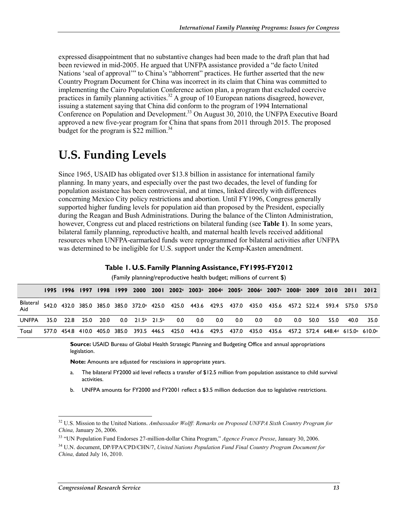expressed disappointment that no substantive changes had been made to the draft plan that had been reviewed in mid-2005. He argued that UNFPA assistance provided a "de facto United Nations 'seal of approval'" to China's "abhorrent" practices. He further asserted that the new Country Program Document for China was incorrect in its claim that China was committed to implementing the Cairo Population Conference action plan, a program that excluded coercive practices in family planning activities.<sup>32</sup> A group of 10 European nations disagreed, however, issuing a statement saying that China did conform to the program of 1994 International Conference on Population and Development.<sup>33</sup> On August 30, 2010, the UNFPA Executive Board approved a new five-year program for China that spans from 2011 through 2015. The proposed budget for the program is  $$22$  million.<sup>34</sup>

# **U.S. Funding Levels**

Since 1965, USAID has obligated over \$13.8 billion in assistance for international family planning. In many years, and especially over the past two decades, the level of funding for population assistance has been controversial, and at times, linked directly with differences concerning Mexico City policy restrictions and abortion. Until FY1996, Congress generally supported higher funding levels for population aid than proposed by the President, especially during the Reagan and Bush Administrations. During the balance of the Clinton Administration, however, Congress cut and placed restrictions on bilateral funding (see **Table 1**). In some years, bilateral family planning, reproductive health, and maternal health levels received additional resources when UNFPA-earmarked funds were reprogrammed for bilateral activities after UNFPA was determined to be ineligible for U.S. support under the Kemp-Kasten amendment.

|                  | $\mu$ and $\mu$ planning reproductive riealin budget, millions or current $\psi$ |  |  |                |  |                   |  |                                                                                                                          |     |     |     |     |     |     |      |      |      |      |
|------------------|----------------------------------------------------------------------------------|--|--|----------------|--|-------------------|--|--------------------------------------------------------------------------------------------------------------------------|-----|-----|-----|-----|-----|-----|------|------|------|------|
|                  |                                                                                  |  |  |                |  |                   |  | 1995 1996 1997 1998 1999 2000 2001 2002⊂ 2003⊂ 2004⊂ 2005⊂ 2006⊂ 2007⊂ 2008⊂ 2009 2010 2011 2012                         |     |     |     |     |     |     |      |      |      |      |
| Bilateral<br>Aid |                                                                                  |  |  |                |  |                   |  | 542.0 432.0 385.0 385.0 385.0 372.0 <sup>a</sup> 425.0 425.0 443.6 429.5 437.0 435.0 435.6 457.2 522.4 593.4 575.0 575.0 |     |     |     |     |     |     |      |      |      |      |
| <b>UNFPA</b>     | 35.0                                                                             |  |  | 22.8 25.0 20.0 |  | $0.0$ 21.5b 21.5b |  | 0.0                                                                                                                      | 0.0 | 0.0 | 0.0 | 0.0 | 0.0 | 0.0 | 50.0 | 55.0 | 40.0 | 35.0 |
| Total            |                                                                                  |  |  |                |  |                   |  | 577.0 454.8 410.0 405.0 385.0 393.5 446.5 425.0 443.6 429.5 437.0 435.0 435.6 457.2 572.4 648.4₫ 615.0€ 610.0€           |     |     |     |     |     |     |      |      |      |      |

#### **Table 1. U.S. Family Planning Assistance, FY1995-FY2012**

(Family planning/reproductive health budget; millions of current \$)

**Source:** USAID Bureau of Global Health Strategic Planning and Budgeting Office and annual appropriations legislation.

**Note:** Amounts are adjusted for rescissions in appropriate years.

- a. The bilateral FY2000 aid level reflects a transfer of \$12.5 million from population assistance to child survival activities.
- b. UNFPA amounts for FY2000 and FY2001 reflect a \$3.5 million deduction due to legislative restrictions.

<sup>32</sup> U.S. Mission to the United Nations. *Ambassador Wolff: Remarks on Proposed UNFPA Sixth Country Program for China,* January 26, 2006.

<sup>33 &</sup>quot;UN Population Fund Endorses 27-million-dollar China Program," *Agence France Presse*, January 30, 2006.

<sup>34</sup> U.N. document, DP/FPA/CPD/CHN/7, *United Nations Population Fund Final Country Program Document for China,* dated July 16, 2010.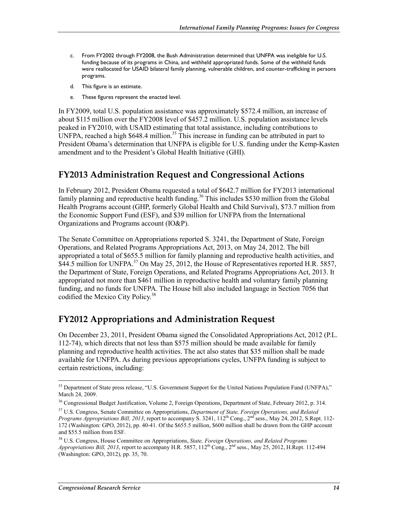- c. From FY2002 through FY2008, the Bush Administration determined that UNFPA was ineligible for U.S. funding because of its programs in China, and withheld appropriated funds. Some of the withheld funds were reallocated for USAID bilateral family planning, vulnerable children, and counter-trafficking in persons programs.
- d. This figure is an estimate.
- e. These figures represent the enacted level.

In FY2009, total U.S. population assistance was approximately \$572.4 million, an increase of about \$115 million over the FY2008 level of \$457.2 million. U.S. population assistance levels peaked in FY2010, with USAID estimating that total assistance, including contributions to UNFPA, reached a high  $$648.4$  million.<sup>35</sup> This increase in funding can be attributed in part to President Obama's determination that UNFPA is eligible for U.S. funding under the Kemp-Kasten amendment and to the President's Global Health Initiative (GHI).

### **FY2013 Administration Request and Congressional Actions**

In February 2012, President Obama requested a total of \$642.7 million for FY2013 international family planning and reproductive health funding.<sup>36</sup> This includes \$530 million from the Global Health Programs account (GHP, formerly Global Health and Child Survival), \$73.7 million from the Economic Support Fund (ESF), and \$39 million for UNFPA from the International Organizations and Programs account (IO&P).

The Senate Committee on Appropriations reported S. 3241, the Department of State, Foreign Operations, and Related Programs Appropriations Act, 2013, on May 24, 2012. The bill appropriated a total of \$655.5 million for family planning and reproductive health activities, and  $\hat{\text{S44}}$ .5 million for UNFPA.<sup>37</sup> On May 25, 2012, the House of Representatives reported H.R. 5857, the Department of State, Foreign Operations, and Related Programs Appropriations Act, 2013. It appropriated not more than \$461 million in reproductive health and voluntary family planning funding, and no funds for UNFPA. The House bill also included language in Section 7056 that codified the Mexico City Policy.<sup>38</sup>

### **FY2012 Appropriations and Administration Request**

On December 23, 2011, President Obama signed the Consolidated Appropriations Act, 2012 (P.L. 112-74), which directs that not less than \$575 million should be made available for family planning and reproductive health activities. The act also states that \$35 million shall be made available for UNFPA. As during previous appropriations cycles, UNFPA funding is subject to certain restrictions, including:

<sup>&</sup>lt;sup>35</sup> Department of State press release, "U.S. Government Support for the United Nations Population Fund (UNFPA)," March 24, 2009.

<sup>&</sup>lt;sup>36</sup> Congressional Budget Justification, Volume 2, Foreign Operations, Department of State, February 2012, p. 314.

<sup>37</sup> U.S. Congress, Senate Committee on Appropriations, *Department of State, Foreign Operations, and Related Programs Appropriations Bill, 2013, report to accompany S. 3241, 112<sup>th</sup> Cong., 2<sup>nd</sup> sess., May 24, 2012, S.Rept. 112-*172 (Washington: GPO, 2012), pp. 40-41. Of the \$655.5 million, \$600 million shall be drawn from the GHP account and \$55.5 million from ESF.

<sup>38</sup> U.S. Congress, House Committee on Appropriations, *State, Foreign Operations, and Related Programs Appropriations Bill, 2013*, report to accompany H.R. 5857, 112<sup>th</sup> Cong., 2<sup>nd</sup> sess., May 25, 2012, H.Rept. 112-494 (Washington: GPO, 2012), pp. 35, 70.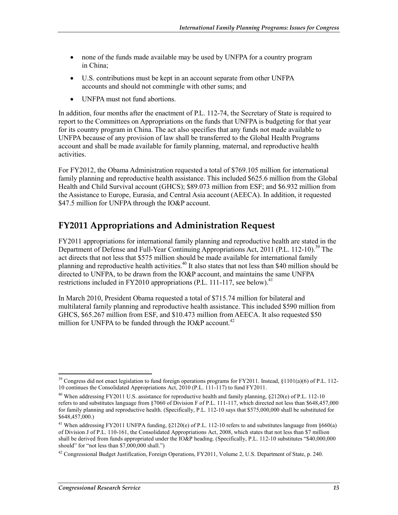- none of the funds made available may be used by UNFPA for a country program in China;
- U.S. contributions must be kept in an account separate from other UNFPA accounts and should not commingle with other sums; and
- UNFPA must not fund abortions.

In addition, four months after the enactment of P.L. 112-74, the Secretary of State is required to report to the Committees on Appropriations on the funds that UNFPA is budgeting for that year for its country program in China. The act also specifies that any funds not made available to UNFPA because of any provision of law shall be transferred to the Global Health Programs account and shall be made available for family planning, maternal, and reproductive health activities.

For FY2012, the Obama Administration requested a total of \$769.105 million for international family planning and reproductive health assistance. This included \$625.6 million from the Global Health and Child Survival account (GHCS); \$89.073 million from ESF; and \$6.932 million from the Assistance to Europe, Eurasia, and Central Asia account (AEECA). In addition, it requested \$47.5 million for UNFPA through the IO&P account.

# **FY2011 Appropriations and Administration Request**

FY2011 appropriations for international family planning and reproductive health are stated in the Department of Defense and Full-Year Continuing Appropriations Act, 2011 (P.L. 112-10).<sup>39</sup> The act directs that not less that \$575 million should be made available for international family planning and reproductive health activities.40 It also states that not less than \$40 million should be directed to UNFPA, to be drawn from the IO&P account, and maintains the same UNFPA restrictions included in FY2010 appropriations (P.L. 111-117, see below).<sup>41</sup>

In March 2010, President Obama requested a total of \$715.74 million for bilateral and multilateral family planning and reproductive health assistance. This included \$590 million from GHCS, \$65.267 million from ESF, and \$10.473 million from AEECA. It also requested \$50 million for UNFPA to be funded through the IO&P account.<sup>42</sup>

<sup>&</sup>lt;u>.</u> <sup>39</sup> Congress did not enact legislation to fund foreign operations programs for FY2011. Instead, §1101(a)(6) of P.L. 112-10 continues the Consolidated Appropriations Act, 2010 (P.L. 111-117) to fund FY2011.

<sup>&</sup>lt;sup>40</sup> When addressing FY2011 U.S. assistance for reproductive health and family planning,  $\S2120(e)$  of P.L. 112-10 refers to and substitutes language from §7060 of Division F of P.L. 111-117, which directed not less than \$648,457,000 for family planning and reproductive health. (Specifically, P.L. 112-10 says that \$575,000,000 shall be substituted for \$648,457,000.)

<sup>&</sup>lt;sup>41</sup> When addressing FY2011 UNFPA funding, §2120(e) of P.L. 112-10 refers to and substitutes language from §660(a) of Division J of P.L. 110-161, the Consolidated Appropriations Act, 2008, which states that not less than \$7 million shall be derived from funds appropriated under the IO&P heading. (Specifically, P.L. 112-10 substitutes "\$40,000,000 should" for "not less than \$7,000,000 shall.")

<sup>&</sup>lt;sup>42</sup> Congressional Budget Justification, Foreign Operations, FY2011, Volume 2, U.S. Department of State, p. 240.